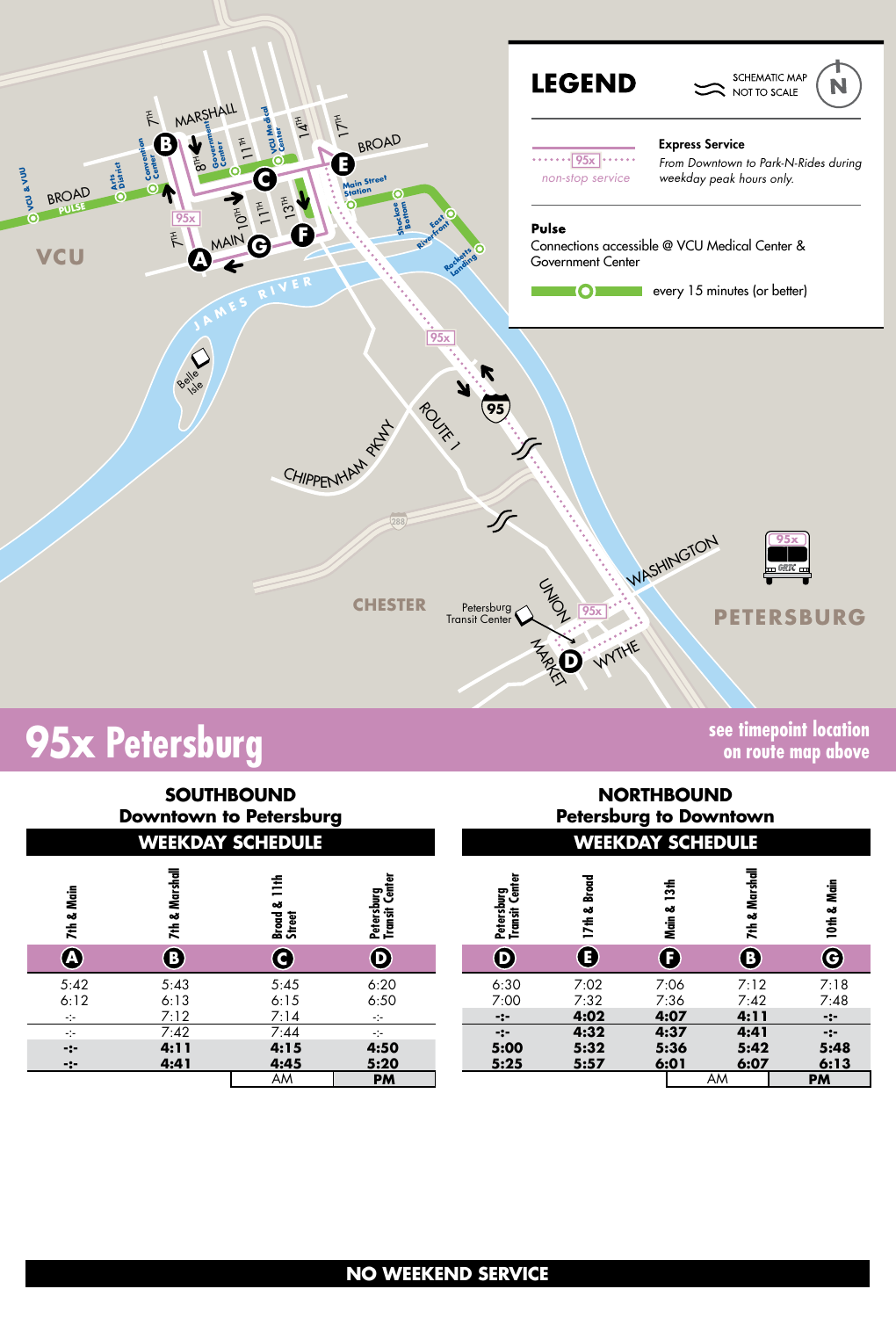

# **95x Petersburg**

**on route map above**

| <b>SOUTHBOUND</b><br><b>Downtown to Petersburg</b><br><b>WEEKDAY SCHEDULE</b> |                      |                           |                                                                         | <b>NORTHBOUND</b><br><b>Petersburg to Downtown</b><br><b>WEEKDAY SCHEDULE</b> |                           |                            |                      |                       |  |  |
|-------------------------------------------------------------------------------|----------------------|---------------------------|-------------------------------------------------------------------------|-------------------------------------------------------------------------------|---------------------------|----------------------------|----------------------|-----------------------|--|--|
| Main<br>7th &                                                                 | 7th & Marshall       | 舌<br>ఱ<br>Broud<br>Street | Petersburg<br>Transit Center                                            | <b>Transit Center</b><br>Petersburg                                           | <b>Broad</b><br>ಹ<br>17th | 13 <sub>th</sub><br>Main & | 7th & Marshall       | Nain<br>10th &        |  |  |
| $\mathbf{A}$                                                                  | $\bf G$              | C                         | $\boldsymbol{\Theta}$                                                   | $\mathbf 0$                                                                   | Œ)                        | Œ                          | ®                    | G                     |  |  |
| 5:42<br>6:12<br>$-1$                                                          | 5:43<br>6:13<br>7:12 | 5:45<br>6:15<br>7:14      | 6:20<br>6:50<br>$\mathcal{L}^{\mathcal{L}}_{\mathcal{L}^{\mathcal{L}}}$ | 6:30<br>7:00<br>$-:-$                                                         | 7:02<br>7:32<br>4:02      | 7:06<br>7:36<br>4:07       | 7:12<br>7:42<br>4:11 | 7:18<br>7:48<br>$-:-$ |  |  |
| $\frac{1}{2}$                                                                 | 7:42                 | 7:44                      | $-1$                                                                    | $-2-$                                                                         | 4:32                      | 4:37                       | 4:41                 | $-2-$                 |  |  |
| $-2-$<br>-:-                                                                  | 4:11<br>4:41         | 4:15<br>4:45              | 4:50<br>5:20                                                            | 5:00<br>5:25                                                                  | 5:32<br>5:57              | 5:36<br>6:01               | 5:42<br>6:07         | 5:48<br>6:13          |  |  |
|                                                                               |                      | AM                        | <b>PM</b>                                                               |                                                                               |                           |                            | AM                   | <b>PM</b>             |  |  |